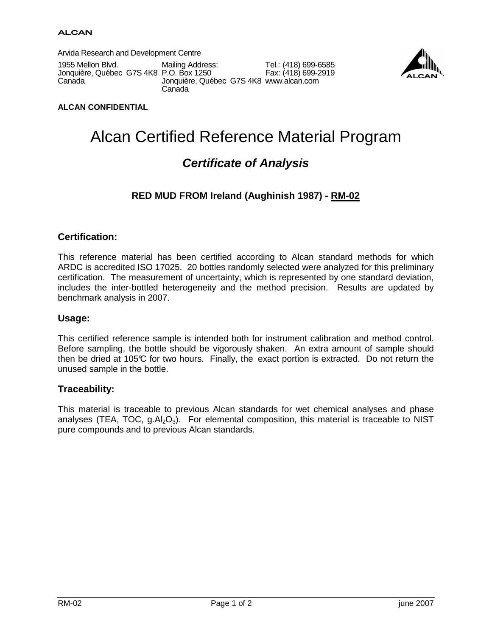Arvida Research and Development Centre

1955 Mellon Blvd. Jonquière, Québec G7S 4K8 P.O. Box 1250 Canada

Tel.: (418) 699-6585 Fax: (418) 699-2919 Mailing Address: Jonquière, Québec G7S 4K8 www.alcan.com **Canada** 



#### **ALCAN CONFIDENTIAL**

# Alcan Certified Reference Material Program

# **Certificate of Analysis**

### **RED MUD FROM Ireland (Aughinish 1987) - RM-02**

#### **Certification:**

This reference material has been certified according to Alcan standard methods for which ARDC is accredited ISO 17025. 20 bottles randomly selected were analyzed for this preliminary certification. The measurement of uncertainty, which is represented by one standard deviation, includes the inter-bottled heterogeneity and the method precision. Results are updated by benchmark analysis in 2007.

#### **Usage:**

This certified reference sample is intended both for instrument calibration and method control. Before sampling, the bottle should be vigorously shaken. An extra amount of sample should then be dried at 105°C for two hours. Finally, the exact portion is extracted. Do not return the unused sample in the bottle.

#### **Traceability:**

This material is traceable to previous Alcan standards for wet chemical analyses and phase analyses (TEA, TOC,  $g.AI_2O_3$ ). For elemental composition, this material is traceable to NIST pure compounds and to previous Alcan standards.